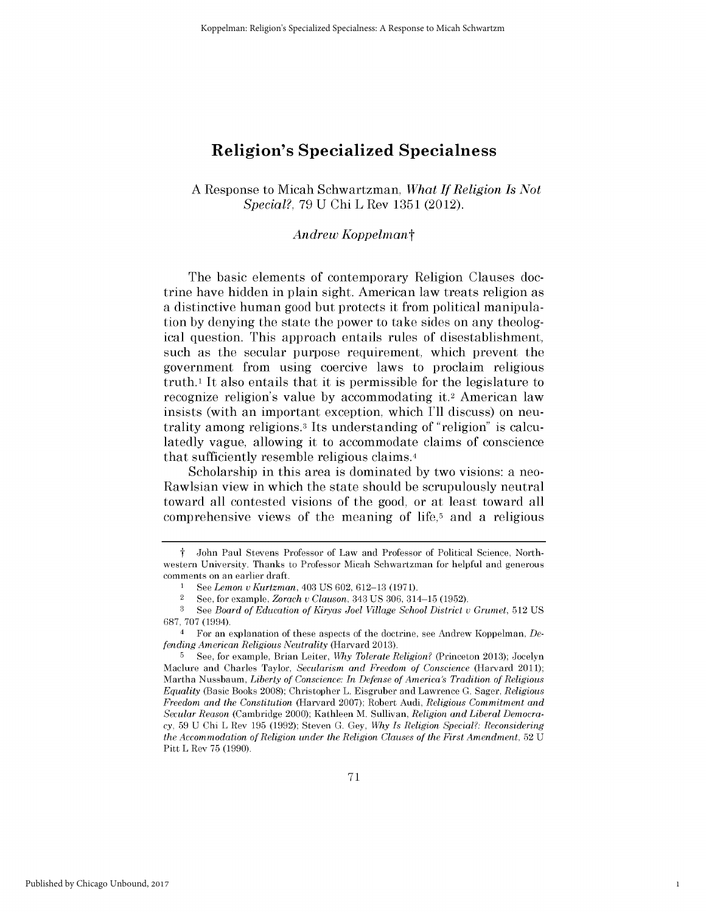# **Religion's Specialized Specialness**

**A** Response to Micah Schwartzman, *What If Religion Is Not Special?,* **79 U Chi** L Rev **1351** (2012).

## *Andrew Koppelmant*

The basic elements of contemporary Religion Clauses doctrine have hidden in plain sight. American law treats religion as a distinctive human good but protects it from political manipulation **by** denying the state the power to take sides on any theological question. This approach entails rules of disestablishment, such as the secular purpose requirement, which prevent the government from using coercive laws to proclaim religious truth.' It also entails that it is permissible for the legislature to recognize religion's value **by** accommodating **it.2** American law insists (with an important exception, which **I'll** discuss) on neutrality among religions.3 Its understanding of "religion" is calculatedly vague, allowing it to accommodate claims of conscience that sufficiently resemble religious claims. <sup>4</sup>

Scholarship in this area is dominated **by** two visions: a neo-Rawlsian view in which the state should be scrupulously neutral toward all contested visions of the good, or at least toward all comprehensive views of the meaning **of** life,5 and a religious

1

t John Paul Stevens Professor of Law and Professor of Political Science, North**western University.** Thanks to Professor Micah Schwartzman for helpful and **generous** comments on an earlier draft.

**I See** *Lemon u Kurtzman,* 403 **US** 602, **612-13 (1971).**

<sup>2</sup>**See,** for example, *Zorach u Clauson,* 343 **US 306,** 314-15 **(1952).**

**<sup>3</sup> See** *Board of Education of Kiryas Joel Village School District u Grumet,* **512 US 687, 707** (1994).

**<sup>4</sup>** For an explanation of these aspects of the doctrine, see Andrew Koppelman, *Defending American Religious Neutrality* (Harvard **2013).**

**<sup>5</sup> See,** for example, Brian Leiter, *Why Tolerate Religion?* (Princeton **2013);** Jocelyn Maclure and Charles Taylor, *Secularism and Freedom of Conscience* (Harvard 2011); Martha Nussbaum, *Liberty of Conscience: In Defense of America's Tradition of Religious Equality* (Basic Books **2008);** Christopher L. Eisgruber and Lawrence **G.** Sager, *Religious Freedom and the Constitution* (Harvard **2007);** Robert Audi, *Religious Commitment and Secular Reason* (Cambridge 2000); Kathleen M. Sullivan, *Religion and Liberal Democracy,* **59 U** Chi L Rev **195 (1992);** Steven **G. Gey,** *Why Is Religion Special?: Reconsidering the Accommodation of Religion under the Religion Clauses of the First Amendment,* 52 U Pitt L Rev **75 (1990).**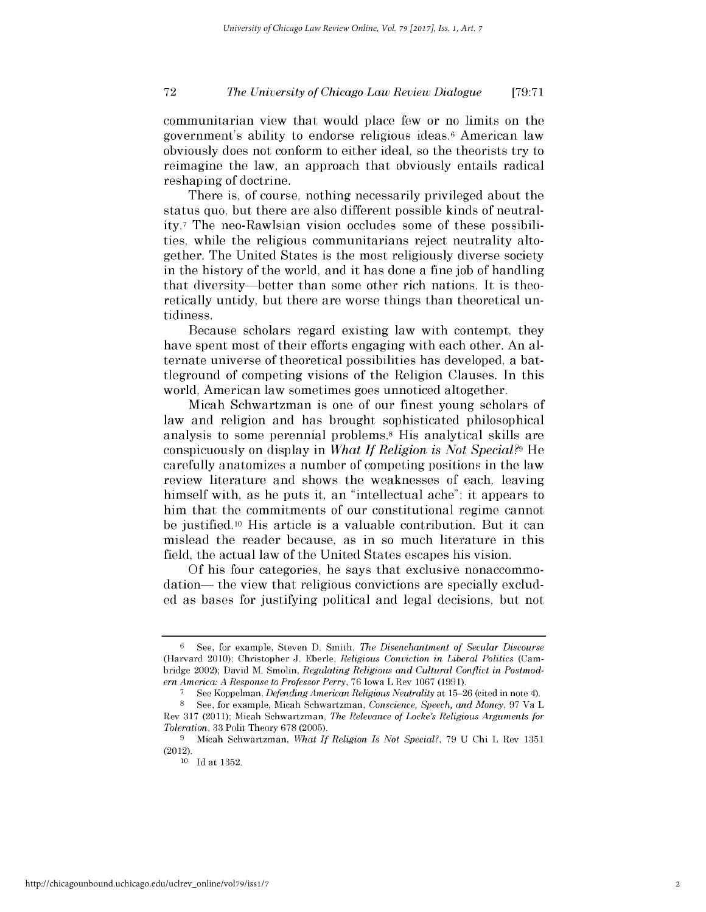communitarian view that would place few or no limits on the government's ability to endorse religious ideas.6 American law obviously does not conform to either ideal, so the theorists try to reimagine the law, an approach that obviously entails radical reshaping of doctrine.

There is, of course, nothing necessarily privileged about the status quo, but there are also different possible kinds of neutrality.7 The neo-Rawlsian vision occludes some of these possibilities, while the religious communitarians reject neutrality altogether. The United States is the most religiously diverse society in the history of the world, and it has done a fine job of handling that diversity-better than some other rich nations. It is theoretically untidy, but there are worse things than theoretical untidiness.

Because scholars regard existing law with contempt, they have spent most of their efforts engaging with each other. An alternate universe of theoretical possibilities has developed, a battleground of competing visions of the Religion Clauses. In this world, American law sometimes goes unnoticed altogether.

Micah Schwartzman is one of our finest young scholars of law and religion and has brought sophisticated philosophical analysis to some perennial problems.8 His analytical skills are conspicuously on display in *What If Religion is Not Special?9* He carefully anatomizes a number of competing positions in the law review literature and shows the weaknesses of each, leaving himself with, as he puts it, an "intellectual ache": it appears to him that the commitments of our constitutional regime cannot be justified.<sup>10</sup> His article is a valuable contribution. But it can mislead the reader because, as in so much literature in this field, the actual law of the United States escapes his vision.

**Of** his four categories, he says that exclusive nonaccommodation— the view that religious convictions are specially excluded as bases for justifying political and legal decisions, but not

<sup>6</sup> See, for example, Steven D. Smith, *The Disenchantment of Secular Discourse* (Harvard 2010); Christopher J. Eberle, *Religious Conviction in Liberal Politics* (Cambridge 2002); David M. Smolin, *Regulating Religious and Cultural Conflict in Postmodern America: A Response to Professor Perry,* 76 Iowa L Rev 1067 (1991).

**<sup>7</sup>** See Koppelman, *Defending American Religious Neutrality* at 15-26 (cited in note 4). **8 See,** for example, Micah Schwartzman, *Conscience, Speech, and Money,* 97 Va L Rev 317 (2011); Micah Schwartzman, *The Relevance of Locke's Religious Arguments for Toleration,* 33 Polit Theory 678 (2005).

<sup>9</sup> Micah Schwartzman, *What If Religion Is Not Special?,* 79 U Chi L Rev 1351 (2012).

iO Id at 1352.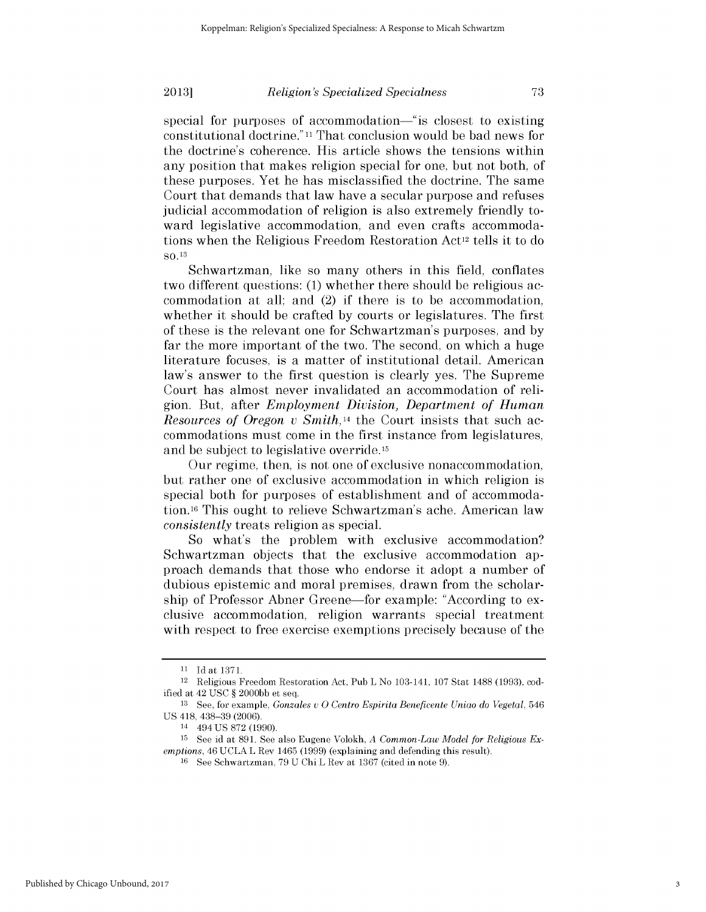### *Religion's Specialized Specialness*

special for purposes of accommodation—"is closest to existing constitutional doctrine." 11 That conclusion would be bad news for the doctrine's coherence. His article shows the tensions within any position that makes religion special for one, but not both, of these purposes. Yet he has misclassified the doctrine. The same Court that demands that law have a secular purpose and refuses judicial accommodation of religion is also extremely friendly toward legislative accommodation, and even crafts accommodations when the Religious Freedom Restoration Act<sup>12</sup> tells it to do so. <sup>13</sup>

Schwartzman, like so many others in this field, conflates two different questions: (1) whether there should be religious accommodation at all; and (2) if there is to be accommodation, whether it should be crafted by courts or legislatures. The first of these is the relevant one for Schwartzman's purposes, and by far the more important of the two. The second, on which a huge literature focuses, is a matter of institutional detail. American law's answer to the first question is clearly yes. The Supreme Court has almost never invalidated an accommodation of rellgion. But, after *Employment Division, Department of Human Resources of Oregon v Smith,14* the Court insists that such accommodations must come in the first instance from legislatures, and be subject to legislative override. 15

Our regime, then, is not one of exclusive nonaccommodation, but rather one of exclusive accommodation in which religion is special both for purposes of establishment and of accommodation.16 This ought to relieve Schwartzman's ache. American law *consistently* treats religion as special.

So what's the problem with exclusive accommodation? Schwartzman objects that the exclusive accommodation approach demands that those who endorse it adopt a number of dubious epistemic and moral premises, drawn from the scholarship of Professor Abner Greene—for example: "According to exclusive accommodation, religion warrants special treatment with respect to free exercise exemptions precisely because of the

<sup>11</sup> Id at 1371.

<sup>12</sup> Religious Freedom Restoration Act, Pub L No 103-141, 107 Stat 1488 (1993), codified at 42 USC § 2000bb et seq.

<sup>13</sup> **See,** for example, *Gonzales* **u** 0 Centro Espirita Beneficente Uniao *do Vegetal,* 546 US 418, 438-39 (2006). 14 494 US 872 (1990).

<sup>15</sup> See id at 891. See also Eugene Volokh, *A Common-Law Model for Religious Exemptions, 46* UCLA L Rev 1465 (1999) (explaining and defending this result).<br><sup>16</sup> See Schwartzman, 79 U Chi L Rev at 1367 (cited in note 9).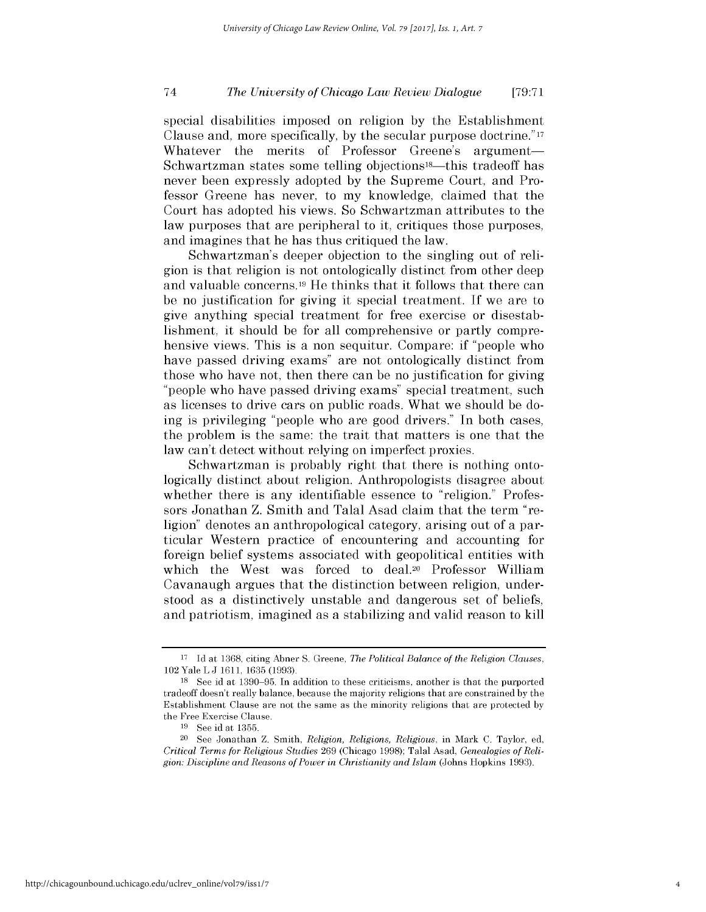special disabilities imposed on religion by the Establishment Clause and, more specifically, by the secular purpose doctrine." 17 Whatever the merits of Professor Greene's argument-Schwartzman states some telling objections<sup>18</sup>—this tradeoff has never been expressly adopted by the Supreme Court, and Professor Greene has never, to my knowledge, claimed that the Court has adopted his views. So Schwartzman attributes to the law purposes that are peripheral to it, critiques those purposes, and imagines that he has thus critiqued the law.

Schwartzman's deeper objection to the singling out of rellgion is that religion is not ontologically distinct from other deep and valuable concerns. 19 He thinks that it follows that there can be no justification for giving it special treatment. If we are to give anything special treatment for free exercise or disestablishment, it should be for all comprehensive or partly comprehensive views. This is a non sequitur. Compare: if "people who have passed driving exams" are not ontologically distinct from those who have not, then there can be no justification for giving "people who have passed driving exams" special treatment, such as licenses to drive cars on public roads. What we should be doing is privileging "people who are good drivers." In both cases, the problem is the same: the trait that matters is one that the law can't detect without relying on imperfect proxies.

Schwartzman is probably right that there is nothing ontologically distinct about religion. Anthropologists disagree about whether there is any identifiable essence to "religion." Professors Jonathan Z. Smith and Talal Asad claim that the term "religion" denotes an anthropological category, arising out of a particular Western practice of encountering and accounting for foreign belief systems associated with geopolitical entities with which the West was forced to deal.20 Professor William Cavanaugh argues that the distinction between religion, understood as a distinctively unstable and dangerous set of beliefs, and patriotism, imagined as a stabilizing and valid reason to kill

<sup>17</sup> Id at 1368, citing Abner S. Greene, *The Political Balance of the Religion Clauses,* 102 Yale L J 1611, 1635 (1993).

<sup>18</sup> See id at 1390-95. In addition to these criticisms, another is that the purported tradeoff doesn't really balance, because the majority religions that are constrained by the Establishment Clause are not the same as the minority religions that are protected by the Free Exercise Clause.

<sup>19</sup> See id at 1355.

<sup>20</sup> See Jonathan Z. Smith, *Religion, Religions, Religious,* in Mark C. Taylor, ed, *Critical Terms for Religious Studies* 269 (Chicago 1998); Talal Asad, *Genealogies of Religion: Discipline and Reasons of Power in Christianity and Islam* (Johns Hopkins 1993).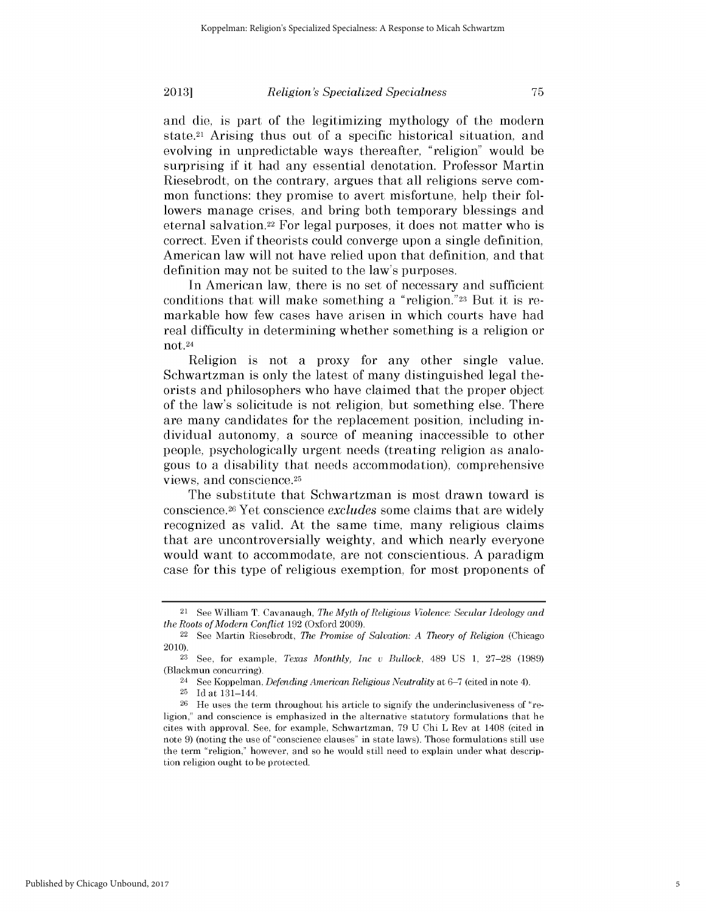### *Religion's Specialized Specialness*

and die, is part of the legitimizing mythology of the modern state.21 Arising thus out of a specific historical situation, and evolving in unpredictable ways thereafter, "religion" would be surprising if it had any essential denotation. Professor Martin Riesebrodt, on the contrary, argues that all religions serve common functions: they promise to avert misfortune, help their followers manage crises, and bring both temporary blessings and eternal salvation.22 For legal purposes, it does not matter who is correct. Even if theorists could converge upon a single definition, American law will not have relied upon that definition, and that definition may not be suited to the law's purposes.

In American law, there is no set of necessary and sufficient conditions that will make something a "religion. **"23** But it is remarkable how few cases have arisen in which courts have had real difficulty in determining whether something is a religion or not. 24

Religion is not a proxy for any other single value. Schwartzman is only the latest of many distinguished legal theorists and philosophers who have claimed that the proper object of the law's solicitude is not religion, but something else. There are many candidates for the replacement position, including individual autonomy, a source of meaning inaccessible to other people, psychologically urgent needs (treating religion as analogous to a disability that needs accommodation), comprehensive views, and conscience.25

The substitute that Schwartzman is most drawn toward is conscience.26 Yet conscience *excludes* some claims that are widely recognized as valid. At the same time, many religious claims that are uncontroversially weighty, and which nearly everyone would want to accommodate, are not conscientious. A paradigm case for this type of religious exemption, for most proponents of

75

<sup>21</sup> See William T. Cavanaugh, *The Myth of Religious Violence: Secular Ideology and the Roots of Modern Conflict* 192 (Oxford 2009).

<sup>22</sup> See Martin Riesebrodt, *The Promise of Salvation: A Theory of Religion* (Chicago 2010). 23 See, for example, *Texas Monthly, Inc v Bullock,* 489 US 1, 27-28 (1989)

<sup>(</sup>Blackmun concurring).

<sup>24</sup> See Koppelman, *Defending American Religious Neutrality* at **6-7** (cited in note 4).

<sup>25</sup> Idat 131-144.

<sup>26</sup> He uses the term throughout his article to signify the underinclusiveness of "religion," and conscience is emphasized in the alternative statutory formulations that he cites with approval. See, for example, Schwartzman, 79 U Chi L Rev at 1408 (cited in note 9) (noting the use of "conscience clauses" in state laws). Those formulations still use the term "religion," however, and so he would still need to explain under what description religion ought to **be** protected.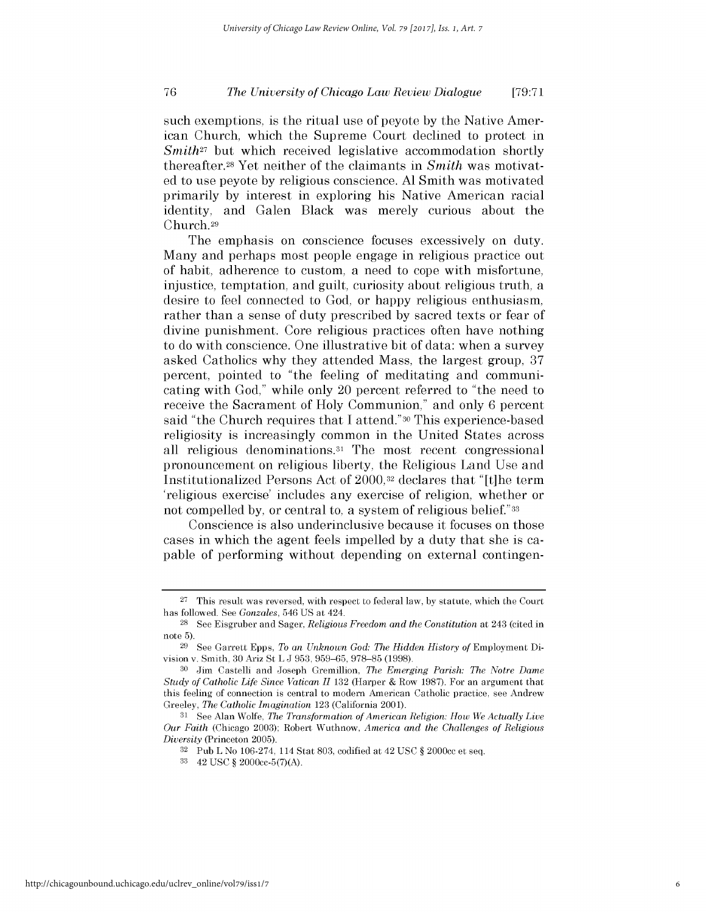such exemptions, is the ritual use of peyote by the Native American Church, which the Supreme Court declined to protect in *Smith*<sup>27</sup> but which received legislative accommodation shortly thereafter.28 Yet neither of the claimants in *Smith* was motivated to use peyote by religious conscience. **Al** Smith was motivated primarily by interest in exploring his Native American racial identity, and Galen Black was merely curious about the Church.29

The emphasis on conscience focuses excessively on duty. Many and perhaps most people engage in religious practice out of habit, adherence to custom, a need to cope with misfortune, injustice, temptation, and guilt, curiosity about religious truth, a desire to feel connected to God, or happy religious enthusiasm, rather than a sense of duty prescribed by sacred texts or fear of divine punishment. Core religious practices often have nothing to do with conscience. One illustrative bit of data: when a survey asked Catholics why they attended Mass, the largest group, 37 percent, pointed to "the feeling of meditating and communicating with God," while only 20 percent referred to "the need to receive the Sacrament of Holy Communion," and only 6 percent said "the Church requires that I attend."30 This experience-based religiosity is increasingly common in the United States across all religious denominations.31 The most recent congressional pronouncement on religious liberty, the Religious Land Use and Institutionalized Persons Act of 2000,<sup>32</sup> declares that "It]he term 'religious exercise' includes any exercise of religion, whether or not compelled by, or central to, a system of religious belief."33

Conscience is also underinclusive because it focuses on those cases in which the agent feels impelled by a duty that she is capable of performing without depending on external contingen-

<sup>27</sup> This result was reversed, with respect to federal law, by statute, which the Court has followed. See *Gonzales,* 546 US at 424.

<sup>28</sup> See Eisgruber and Sager, *Religious Freedom and the Constitution* at 243 (cited in note 5).

<sup>29</sup> See Garrett Epps, *To an Unknown God: The Hidden History of* Employment Division v. Smith, 30 Ariz St L J 953, 959-65, 978-85 (1998).

<sup>30</sup> Jim Castelli and Joseph Gremillion, *The Emerging Parish: The Notre Dame Study of Catholic Life Since Vatican* **11** 132 (Harper & Row 1987). For an argument that this feeling of connection is central to modern American Catholic practice, see Andrew Greeley, *The Catholic Imagination* 123 (California 2001).

**<sup>31</sup>**See Alan Wolfe, *The Transformation of American Religion: How We Actually Live Our Faith* (Chicago 2003); Robert Wuthnow, *America and the Challenges of Religious Diversity* (Princeton 2005).

<sup>32</sup> Pub L No 106-274, 114 Stat 803, codified at 42 USC § 2000cc et seq.

<sup>33 42</sup> USC § 2000cc-5(7)(A).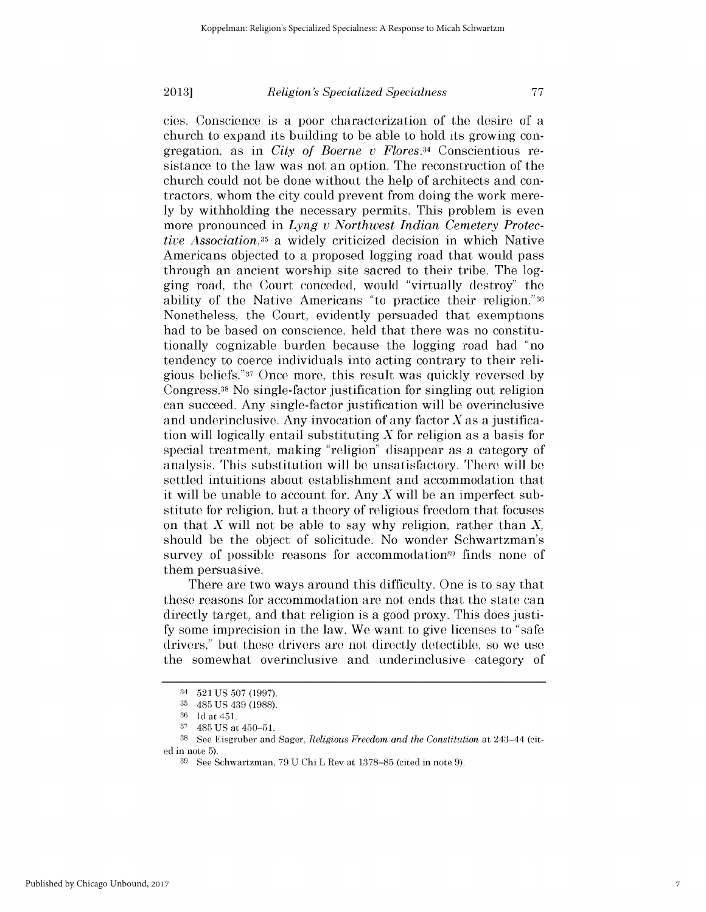# *Religion's Specialized Specialness*

cies. Conscience is a poor characterization of the desire of a church to expand its building to be able to hold its growing congregation, as in *City of Boerne v Flores.34* Conscientious resistance to the law was not an option. The reconstruction of the church could not be done without the help of architects and contractors, whom the city could prevent from doing the work merely by withholding the necessary permits. This problem is even more pronounced in *Lyng v Northwest Indian Cemetery Protective Association,35* a widely criticized decision in which Native Americans objected to a proposed logging road that would pass through an ancient worship site sacred to their tribe. The logging road, the Court conceded, would "virtually destroy" the ability of the Native Americans "to practice their religion."36 Nonetheless, the Court, evidently persuaded that exemptions had to be based on conscience, held that there was no constitutionally cognizable burden because the logging road had "no tendency to coerce individuals into acting contrary to their religious beliefs."37 Once more, this result was quickly reversed by Congress.38 No single-factor justification for singling out religion can succeed. Any single-factor justification will be overinclusive and underinclusive. Any invocation of any factor  $X$  as a justification will logically entail substituting  $X$  for religion as a basis for special treatment, making "religion" disappear as a category of analysis. This substitution will be unsatisfactory. There will be settled intuitions about establishment and accommodation that it will be unable to account for. Any  $X$  will be an imperfect substitute for religion, but a theory of religious freedom that focuses on that  $X$  will not be able to say why religion, rather than  $X$ , should be the object of solicitude. No wonder Schwartzman's survey of possible reasons for accommodation<sup>39</sup> finds none of them persuasive.

There are two ways around this difficulty. One is to say that these reasons for accommodation are not ends that the state can directly target, and that religion is a good proxy. This does justify some imprecision in the law. We want to give licenses to "safe drivers," but these drivers are not directly detectible, so we use the somewhat overinclusive and underinclusive category of

<sup>34 521</sup> US 507 (1997).

<sup>35</sup>485 US 439 (1988).

<sup>&</sup>lt;sup>36</sup> Id at 451.

**<sup>37</sup>**485 US at 450-51.

<sup>38</sup> See Eisgruber and Sager, *Religious Freedom and the Constitution* at 243-44 (cited in note 5).

See Schwartzman, 79 U Chi L Rev at 1378-85 (cited in note 9).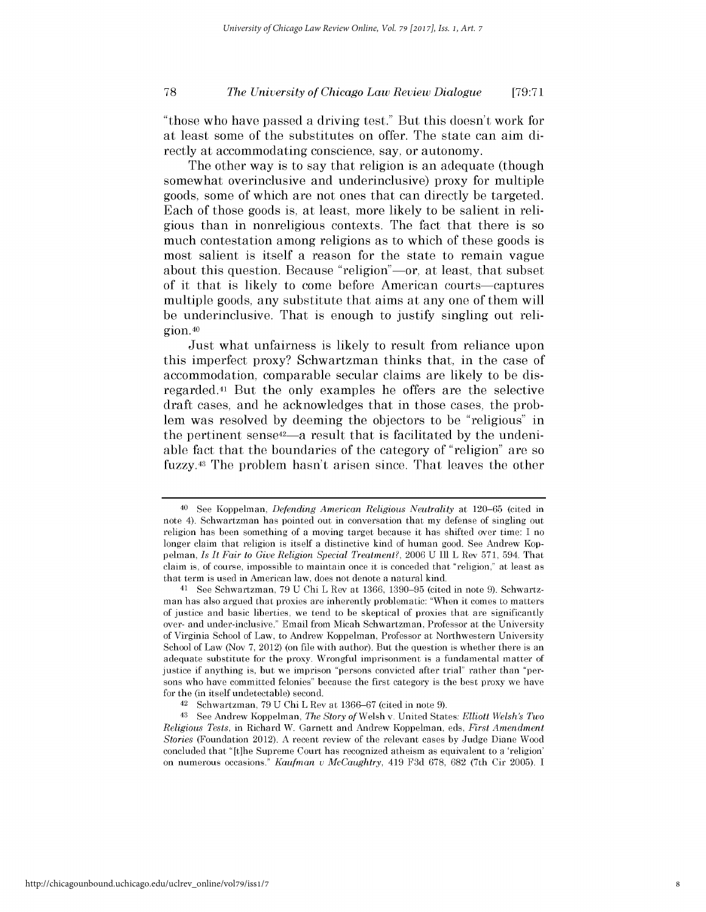"those who have passed a driving test." But this doesn't work for at least some of the substitutes on offer. The state can aim **di**rectly at accommodating conscience, say, or autonomy.

The other way is to say that religion is an adequate (though somewhat overinclusive and underinclusive) proxy for multiple goods, some of which are not ones that can directly be targeted. Each of those goods is, at least, more likely to be salient in **rell**gious than in nonreligious contexts. The fact that there **is so** much contestation among religions as to which of these goods **is** most salient is itself a reason for the state to remain vague about this question. Because "religion"—or, at least, that subset of it that is likely to come before American courts-captures multiple goods, any substitute that aims at any one of them will be underinclusive. That is enough to justify singling out **rell**gion.40

Just what unfairness is likely to result from reliance upon this imperfect proxy? Schwartzman thinks that, in the case of accommodation, comparable secular claims are likely to be **dis**regarded.41 But the only examples he offers are the selective draft cases, and he acknowledges that in those cases, the problem was resolved **by** deeming the objectors to be "religious" in the pertinent sense<sup>42</sup>—a result that is facilitated by the undeniable fact that the boundaries of the category of "religion" are so **fuzzy.43** The problem hasn't arisen since. That leaves the other

**<sup>40</sup>**See Koppelman, *Defending American Religious Neutrality* at **120-65** (cited in note 4). Schwartzman has pointed out in conversation that my defense of singling out religion has been something of a moving target because **it** has shifted over time: **I** no longer claim that religion is itself a distinctive kind of human good. **See** Andrew Koppelman, *Is It Fair to Give Religion Special Treatment?,* 2006 **U Ill** L Rev **571,** 594. That claim **is, of** course, **impossible to** maintain once **it is** conceded that **"religion,"** at least **as** that term is used in American law, does not denote a natural kind.

**<sup>41</sup>** See Schwartzman, **79 U** Chi L Rev at **1366, 1390-95** (cited in note **9).** Schwartzman has also argued that proxies are inherently problematic: "When **it** comes to matters of justice and basic liberties, we tend to **be** skeptical of proxies that are significantly over- and under-inclusive." Email from Micah Schwartzman, Professor at the University of Virginia School of Law, to Andrew Koppelman, Professor at Northwestern University School of Law (Nov **7,** 2012) (on **file** with author). But the question is whether there is an adequate substitute for the proxy. Wrongful imprisonment is a fundamental matter of justice **if** anything is, but we imprison "persons convicted after trial" rather than "persons who have committed felonies" because the first category is the best proxy we have for the (in itself undetectable) second.

**<sup>42</sup>**Schwartzman, **79 U** Chi L Rev at **1366-67** (cited in note **9).**

**<sup>43</sup> See** Andrew Koppelman, *The Story of* Welsh v. United States: *Elliott Welsh's Two Religious Tests,* in Richard W. Garnett and Andrew Koppelman, eds, *First Amendment Stories* (Foundation 2012). **A** recent review of the relevant cases **by** Judge Diane Wood concluded that "[t]he Supreme Court has recognized atheism as equivalent to a 'religion' on numerous occasions." *Kaufman v McCaughtry,* 419 **F3d** 678, 682 (7th Cir **2005). I**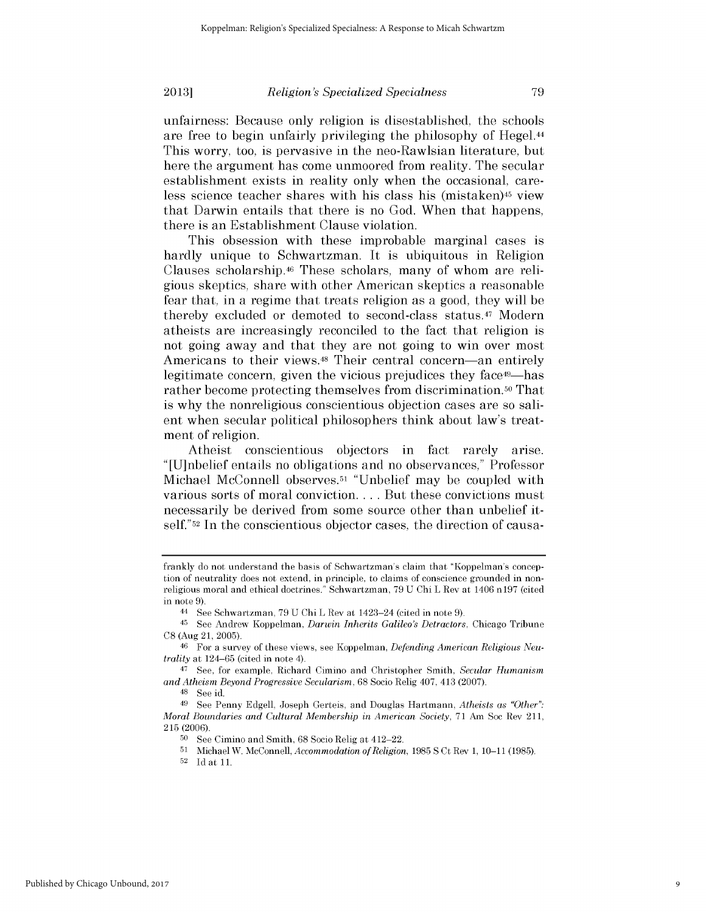*Religion's Specialized Specialness*

unfairness: Because only religion is disestablished, the schools are free to begin unfairly privileging the philosophy of Hegel.44 This worry, too, is pervasive in the neo-Rawlsian literature, but here the argument has come unmoored from reality. The secular establishment exists in reality only when the occasional, careless science teacher shares with his class his (mistaken)<sup>45</sup> view that Darwin entails that there is no God. When that happens, there is an Establishment Clause violation.

This obsession with these improbable marginal cases is hardly unique to Schwartzman. It is ubiquitous in Religion Clauses scholarship.46 These scholars, many of whom are religious skeptics, share with other American skeptics a reasonable fear that, in a regime that treats religion as a good, they will be thereby excluded or demoted to second-class status.47 Modern atheists are increasingly reconciled to the fact that religion is not going away and that they are not going to win over most Americans to their views.<sup>48</sup> Their central concern—an entirely legitimate concern, given the vicious prejudices they face<sup>49</sup>—has rather become protecting themselves from discrimination. **50** That is why the nonreligious conscientious objection cases are so salient when secular political philosophers think about law's treatment of religion.

Atheist conscientious objectors in fact rarely arise. "[U]nbelief entails no obligations and no observances," Professor Michael McConnell observes.51 "Unbelief may be coupled with various sorts of moral conviction **....** But these convictions must necessarily be derived from some source other than unbelief itself."<sup>52</sup> In the conscientious objector cases, the direction of causa-

**2013]**

52 Id at 11.

frankly do not understand the basis of Schwartzman's claim that "Koppelman's conception of neutrality does not extend, in principle, to claims of conscience grounded in nonreligious moral and ethical doctrines." Schwartzman, 79 U Chi L Rev at 1406 n197 (cited in note 9).

<sup>44</sup> See Schwartzman, 79 U Chi L Rev at 1423-24 (cited in note 9).

<sup>45</sup> See Andrew Koppelman, *Darwin Inherits Galileo's Detractors,* Chicago Tribune C8 (Aug 21, 2005).

<sup>46</sup> For a survey of these views, see Koppelman, *Defending American Religious Neutrality* at 124-65 (cited in note 4).

<sup>47</sup> See, for example, Richard Cimino and Christopher Smith, *Secular Humanism and Atheism Beyond Progressive Secularism,* 68 Socio Relig 407, 413 (2007).

<sup>48</sup> See id.

<sup>49</sup> See Penny Edgell, Joseph Gerteis, and Douglas Hartmann, *Atheists as "Other": Moral Boundaries and Cultural Membership in American Society,* 71 Am Soc Rev 211, 215 (2006).

<sup>50</sup> See Cimino and Smith, 68 Socio Relig at 412-22.

**<sup>51</sup>**Michael W. McConnell, *Accommodation of Religion,* 1985 **S** Ct Rev 1, 10-11 (1985).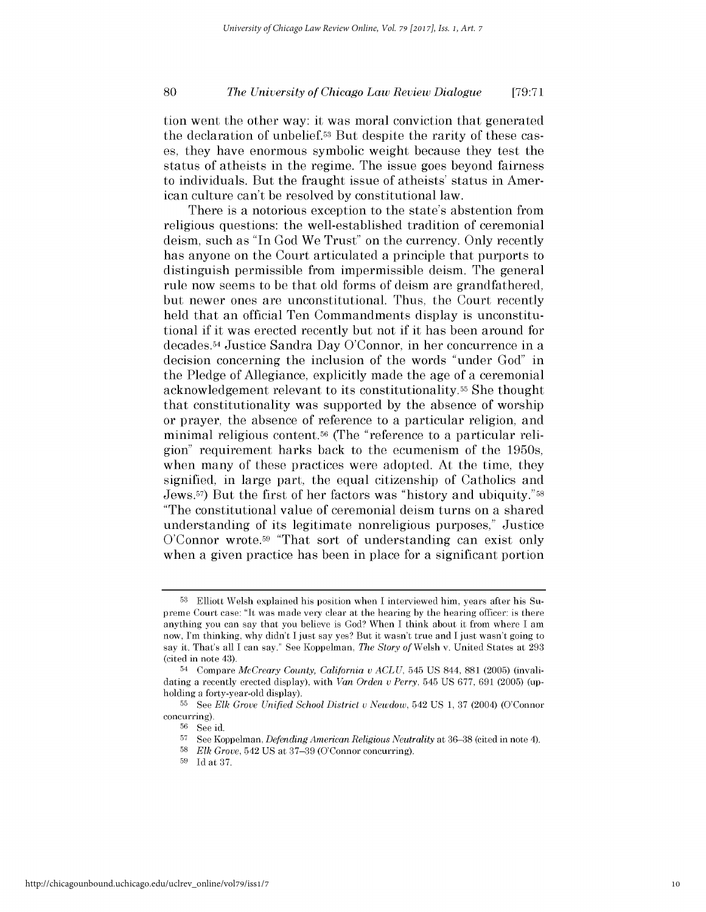tion went the other way: it was moral conviction that generated the declaration of unbelief.53 But despite the rarity of these cases, they have enormous symbolic weight because they test the status of atheists in the regime. The issue goes beyond fairness to individuals. But the fraught issue of atheists' status in American culture can't be resolved by constitutional law.

There is a notorious exception to the state's abstention from religious questions: the well-established tradition of ceremonial deism, such as "In God We Trust" on the currency. Only recently has anyone on the Court articulated a principle that purports to distinguish permissible from impermissible deism. The general rule now seems to be that old forms of deism are grandfathered, but newer ones are unconstitutional. Thus, the Court recently held that an official Ten Commandments display is unconstitutional if it was erected recently but not if it has been around for decades.54 Justice Sandra Day O'Connor, in her concurrence in a decision concerning the inclusion of the words "under God" in the Pledge of Allegiance, explicitly made the age of a ceremonial acknowledgement relevant to its constitutionality.55 She thought that constitutionality was supported by the absence of worship or prayer, the absence of reference to a particular religion, and minimal religious content.56 (The "reference to a particular rellgion" requirement harks back to the ecumenism of the 1950s, when many of these practices were adopted. At the time, they signified, in large part, the equal citizenship of Catholics and Jews. 57) But the first of her factors was "history and ubiquity."58 "The constitutional value of ceremonial deism turns on a shared understanding of its legitimate nonreligious purposes," Justice  $O'Compare$  wrote.<sup>59</sup> "That sort of understanding can exist only when a given practice has been in place for a significant portion

**<sup>53</sup>** Elliott Welsh explained his position when I interviewed him, years after his Supreme Court case: "It was made very clear at the hearing by the hearing officer: is there anything you can say that you believe is God? When I think about it from where I am now, I'm thinking, why didn't I just say yes? But it wasn't true and I just wasn't going to say it. That's all I can say." See Koppelman, *The Story of* Welsh v. United States at 293 (cited in note 43).

<sup>54</sup> Compare *McCreary County, California* **v** *ACLU,* 545 US 844, 881 (2005) (invalidating a recently erected display), with *Van Orden* **v** *Perry,* 545 US 677, 691 (2005) (upholding a forty-year-old display).

**<sup>55</sup>**See *Elk Grove Unified School* District *v* Newdow, 542 US **1,** 37 (2004) (O'Connor concurring).

**<sup>56</sup>**See id.

**<sup>57</sup>** See Koppelman, *Defending American Religious Neutrality* at 36-38 (cited in note 4).

**<sup>58</sup>***Elk Grove,* 542 US at 37-39 (O'Connor concurring).

**<sup>59</sup>**Id at 37.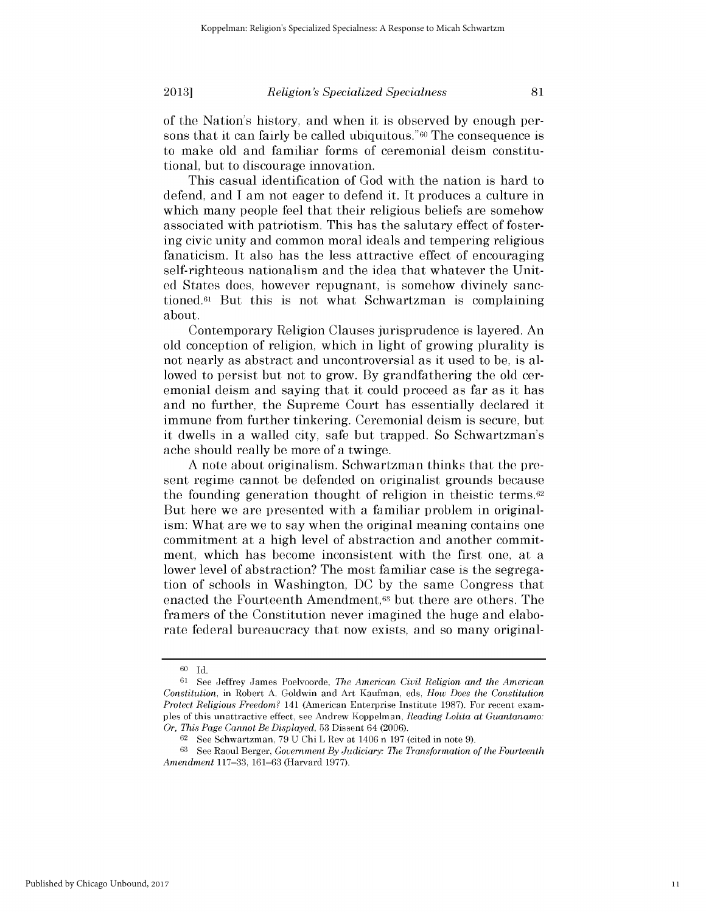### *Religion's Specialized Specialness*

of the Nation's history, and when it is observed by enough persons that it can fairly be called ubiquitous."<sup>60</sup> The consequence is to make old and familiar forms of ceremonial deism constitutional, but to discourage innovation.

This casual identification of God with the nation is hard to defend, and I am not eager to defend it. It produces a culture in which many people feel that their religious beliefs are somehow associated with patriotism. This has the salutary effect of fostering civic unity and common moral ideals and tempering religious fanaticism. It also has the less attractive effect of encouraging self-righteous nationalism and the idea that whatever the United States does, however repugnant, is somehow divinely sanctioned.61 But this is not what Schwartzman is complaining about.

Contemporary Religion Clauses jurisprudence is layered. An old conception of religion, which in light of growing plurality is not nearly as abstract and uncontroversial as it used to be, is allowed to persist but not to grow. By grandfathering the old ceremonial deism and saying that it could proceed as far as it has and no further, the Supreme Court has essentially declared it immune from further tinkering. Ceremonial deism is secure, but it dwells in a walled city, safe but trapped. So Schwartzman's ache should really be more of a twinge.

A note about originalism. Schwartzman thinks that the present regime cannot be defended on originalist grounds because the founding generation thought of religion in theistic terms. $62$ But here we are presented with a familiar problem in originalism: What are we to say when the original meaning contains one commitment at a high level of abstraction and another commitment, which has become inconsistent with the first one, at a lower level of abstraction? The most familiar case is the segregation of schools in Washington, DC by the same Congress that enacted the Fourteenth Amendment,63 but there are others. The framers of the Constitution never imagined the huge and elaborate federal bureaucracy that now exists, and so many original-

**<sup>60</sup>**Id.

<sup>61</sup> See Jeffrey James Poelvoorde, *The American Civil Religion and the American Constitution,* in Robert A. Goldwin and Art Kaufman, eds, *How Does the Constitution Protect Religious Freedom?* 141 (American Enterprise Institute 1987). For recent examples of this unattractive effect, see Andrew Koppelman, *Reading Lolita at Guantanamo: Or, This Page Cannot Be Displayed,* 53 Dissent 64 (2006).

<sup>62</sup> See Schwartzman, 79 U Chi L Rev at 1406 n 197 (cited in note 9).

**<sup>63</sup>**See Raoul Berger, *Government By Judiciary: The Transformation of the Fourteenth Amendment* 117-33, 161-63 (Harvard 1977).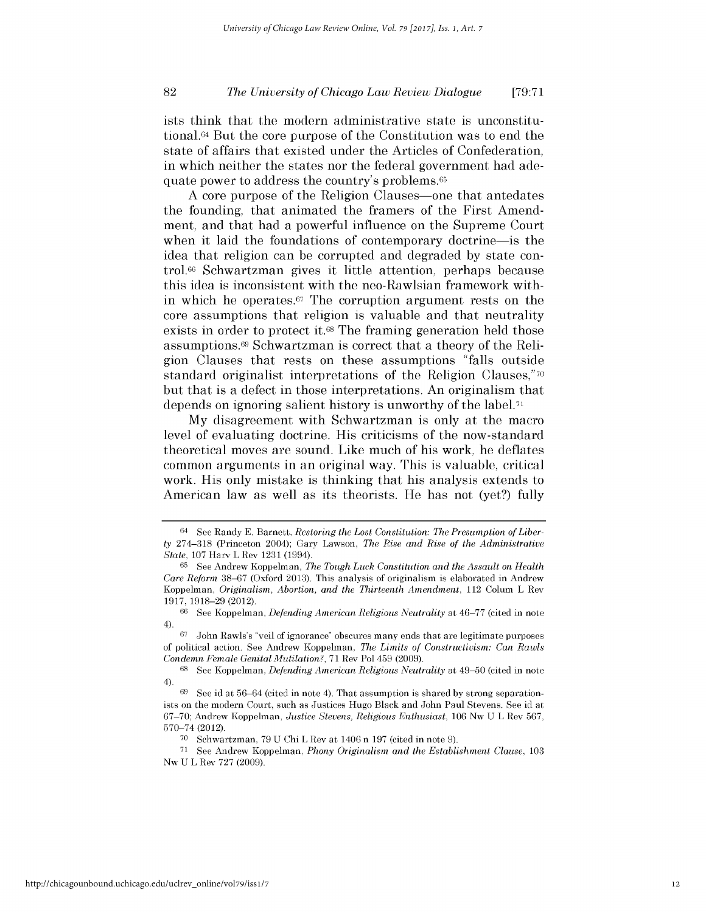ists think that the modern administrative state is unconstitutional.64 But the core purpose of the Constitution was to end the state of affairs that existed under the Articles of Confederation, in which neither the states nor the federal government had adequate power to address the country's problems.65

A core purpose of the Religion Clauses—one that antedates the founding, that animated the framers of the First Amendment, and that had a powerful influence on the Supreme Court when it laid the foundations of contemporary doctrine-is the idea that religion can be corrupted and degraded by state control.66 Schwartzman gives it little attention, perhaps because this idea is inconsistent with the neo-Rawlsian framework within which he operates.<sup>67</sup> The corruption argument rests on the core assumptions that religion is valuable and that neutrality exists in order to protect it.<sup>68</sup> The framing generation held those assumptions.69 Schwartzman is correct that a theory of the Religion Clauses that rests on these assumptions "falls outside standard originalist interpretations of the Religion Clauses,"<sup>70</sup> but that is a defect in those interpretations. An originalism that depends on ignoring salient history is unworthy of the label. <sup>71</sup>

My disagreement with Schwartzman is only at the macro level of evaluating doctrine. His criticisms of the now-standard theoretical moves are sound. Like much of his work, he deflates common arguments in an original way. This is valuable, critical work. His only mistake is thinking that his analysis extends to American law as well as its theorists. He has not (yet?) fully

<sup>64</sup> See Randy E. Barnett, *Restoring the Lost Constitution: The Presumption of Liberty* 274-318 (Princeton 2004); Gary Lawson, *The Rise and Rise of the Administrative State,* 107 Harv L Rev 1231 (1994).

**<sup>65</sup>**See Andrew Koppelman, The *Tough Luck Constitution and* the *Assault* on *Health Care Reform* 38-67 (Oxford 2013). This analysis of originalism is elaborated in Andrew Koppelman, *Originalism, Abortion, and the Thirteenth Amendment,* 112 Colum L Rev 1917, 1918-29 (2012).

<sup>66</sup> See Koppelman, *Defending American Religious Neutrality* at 46-77 (cited in note 4).

<sup>67</sup> John Rawls's "veil of ignorance" obscures many ends that are legitimate purposes of political action. See Andrew Koppelman, *The Limits of Constructivism: Can* Rawls *Condemn Female Genital Mutilation?,* 71 Rev Pol 459 (2009).

<sup>68</sup> See Koppelman, *Defending American Religious Neutrality* at 49-50 (cited in note 4).

See id at  $56-64$  (cited in note 4). That assumption is shared by strong separationists on the modern Court, such as Justices Hugo Black and John Paul Stevens. See id at 67-70; Andrew Koppelman, *Justice Stevens, Religious Enthusiast,* 106 Nw U L Rev 567, 570-74 (2012).

<sup>70</sup> Schwartzman, 79 U Chi L Rev at 1406 n 197 (cited in note 9).

**<sup>71</sup>**See Andrew Koppelman, *Phony Originalism and the Establishment Clause,* <sup>103</sup> Nw U L Rev 727 (2009).